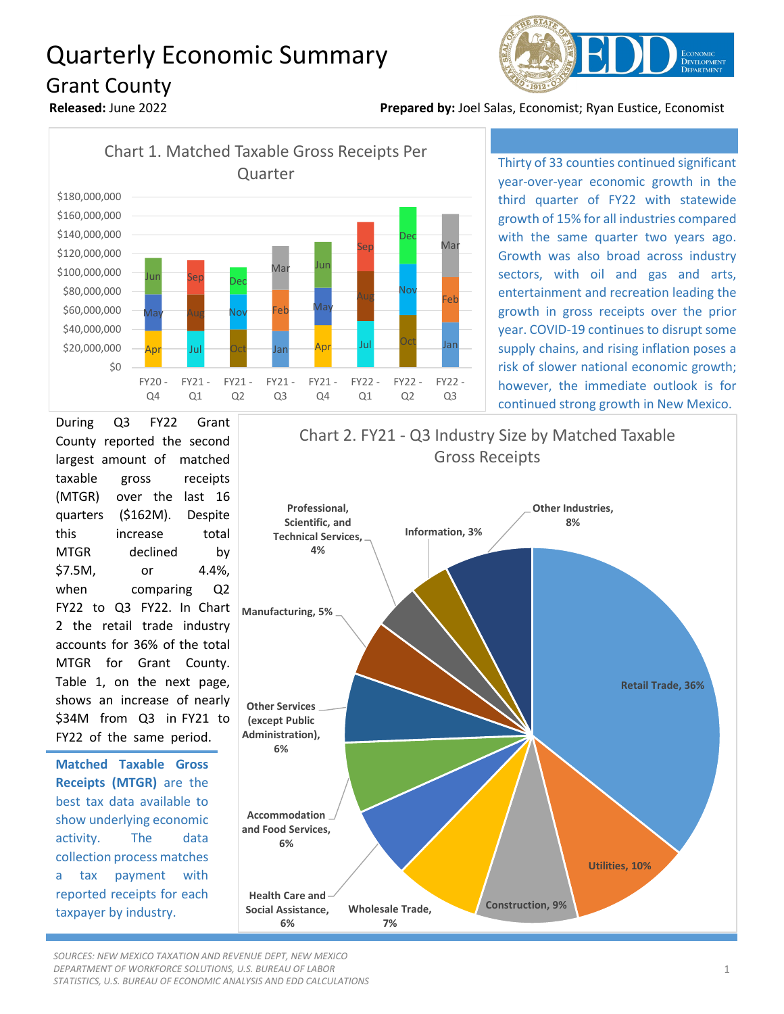## Quarterly Economic Summary Grant County



**Released:** June 2022 **Prepared by:** Joel Salas, Economist; Ryan Eustice, Economist



Thirty of 33 counties continued significant year-over-year economic growth in the third quarter of FY22 with statewide growth of 15% for all industries compared with the same quarter two years ago. Growth was also broad across industry sectors, with oil and gas and arts, entertainment and recreation leading the growth in gross receipts over the prior year. COVID-19 continues to disrupt some supply chains, and rising inflation poses a risk of slower national economic growth; however, the immediate outlook is for continued strong growth in New Mexico.

During Q3 FY22 Grant County reported the second largest amount of matched taxable gross receipts (MTGR) over the last 16 quarters (\$162M). Despite this increase total MTGR declined by \$7.5M, or 4.4%, when comparing Q2 FY22 to Q3 FY22. In Chart 2 the retail trade industry accounts for 36% of the total MTGR for Grant County. Table 1, on the next page, shows an increase of nearly \$34M from Q3 in FY21 to FY22 of the same period.

**Matched Taxable Gross Receipts (MTGR)** are the best tax data available to show underlying economic activity. The data collection process matches a tax payment with reported receipts for each taxpayer by industry.



*SOURCES: NEW MEXICO TAXATION AND REVENUE DEPT, NEW MEXICO DEPARTMENT OF WORKFORCE SOLUTIONS, U.S. BUREAU OF LABOR STATISTICS, U.S. BUREAU OF ECONOMIC ANALYSIS AND EDD CALCULATIONS*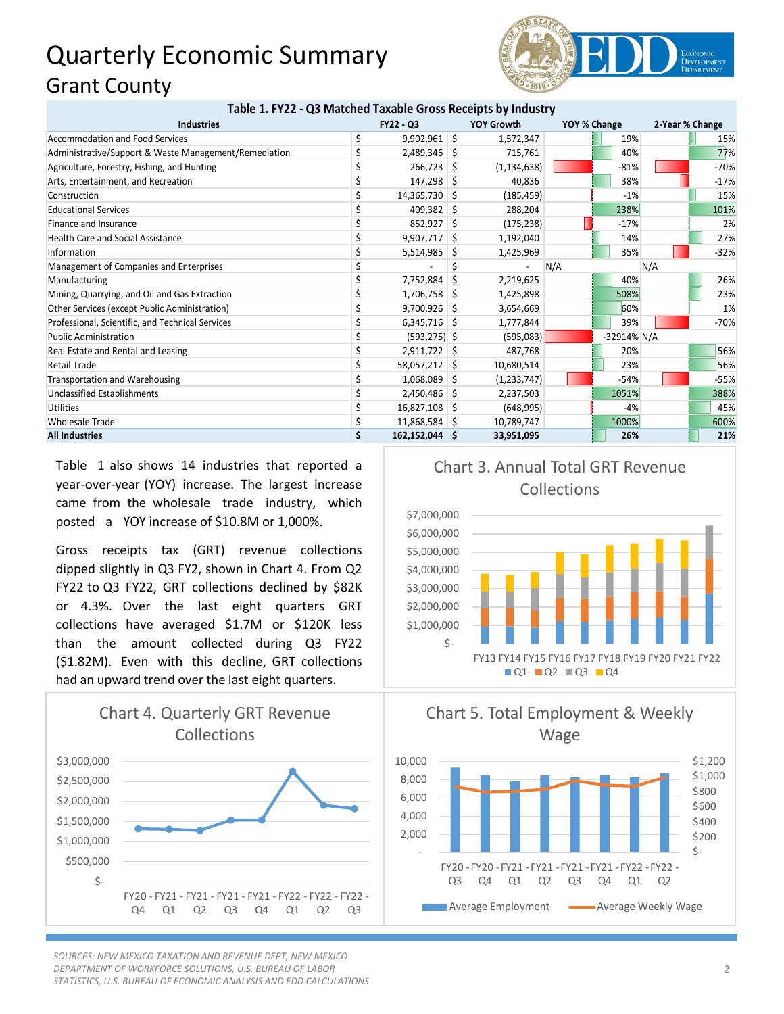## Quarterly Economic Summary Grant County



| Table 1. FY22 - Q3 Matched Taxable Gross Receipts by Industry |  |  |  |
|---------------------------------------------------------------|--|--|--|
|---------------------------------------------------------------|--|--|--|

| <b>Industries</b>                                     | <b>FY22 - Q3</b> |    | <b>YOY Growth</b> | YOY % Change |             | 2-Year % Change |        |
|-------------------------------------------------------|------------------|----|-------------------|--------------|-------------|-----------------|--------|
| Accommodation and Food Services                       | $9,902,961$ \$   |    | 1,572,347         |              | 19%         |                 | 15%    |
| Administrative/Support & Waste Management/Remediation | $2,489,346$ \$   |    | 715,761           |              | 40%         |                 | 77%    |
| Agriculture, Forestry, Fishing, and Hunting           | 266,723          | S  | (1, 134, 638)     |              | $-81%$      |                 | $-70%$ |
| Arts, Entertainment, and Recreation                   | 147,298          | S  | 40,836            |              | 38%         |                 | $-17%$ |
| Construction                                          | 14,365,730 \$    |    | (185, 459)        |              | $-1%$       |                 | 15%    |
| <b>Educational Services</b>                           | $409,382$ \$     |    | 288,204           |              | 238%        |                 | 101%   |
| Finance and Insurance                                 | $852,927$ \$     |    | (175, 238)        |              | $-17%$      |                 | 2%     |
| <b>Health Care and Social Assistance</b>              | $9,907,717$ \$   |    | 1,192,040         |              | 14%         |                 | 27%    |
| Information                                           | 5,514,985        | S  | 1,425,969         |              | 35%         |                 | $-32%$ |
| Management of Companies and Enterprises               |                  |    |                   | N/A          |             | N/A             |        |
| Manufacturing                                         | 7,752,884        | -S | 2,219,625         |              | 40%         |                 | 26%    |
| Mining, Quarrying, and Oil and Gas Extraction         | 1,706,758        | S  | 1,425,898         |              | 508%        |                 | 23%    |
| Other Services (except Public Administration)         | 9,700,926        |    | 3,654,669         |              | 60%         |                 | 1%     |
| Professional, Scientific, and Technical Services      | $6,345,716$ \$   |    | 1,777,844         |              | 39%         |                 | $-70%$ |
| <b>Public Administration</b>                          | $(593, 275)$ \$  |    | (595,083)         |              | -32914% N/A |                 |        |
| Real Estate and Rental and Leasing                    | $2,911,722$ \$   |    | 487,768           |              | 20%         |                 | 56%    |
| Retail Trade                                          | 58,057,212 \$    |    | 10,680,514        |              | 23%         |                 | 56%    |
| Transportation and Warehousing                        | $1,068,089$ \$   |    | (1,233,747)       |              | $-54%$      |                 | $-55%$ |
| Unclassified Establishments                           | $2,450,486$ \$   |    | 2,237,503         |              | 1051%       |                 | 388%   |
| <b>Utilities</b>                                      | 16,827,108 \$    |    | (648, 995)        |              | $-4%$       |                 | 45%    |
| <b>Wholesale Trade</b>                                | 11,868,584 \$    |    | 10,789,747        |              | 1000%       |                 | 600%   |
| <b>All Industries</b>                                 | 162,152,044 \$   |    | 33,951,095        |              | 26%         |                 | 21%    |

Table 1 also shows 14 industries that reported a year-over-year (YOY) increase. The largest increase came from the wholesale trade industry, which posted a YOY increase of \$10.8M or 1,000%.

Gross receipts tax (GRT) revenue collections dipped slightly in Q3 FY2, shown in Chart 4. From Q2 FY22 to Q3 FY22, GRT collections declined by \$82K or 4.3%. Over the last eight quarters GRT collections have averaged \$1.7M or \$120K less than the amount collected during Q3 FY22 (\$1.82M). Even with this decline, GRT collections had an upward trend over the last eight quarters.



*SOURCES: NEW MEXICO TAXATION AND REVENUE DEPT, NEW MEXICO DEPARTMENT OF WORKFORCE SOLUTIONS, U.S. BUREAU OF LABOR STATISTICS, U.S. BUREAU OF ECONOMIC ANALYSIS AND EDD CALCULATIONS*